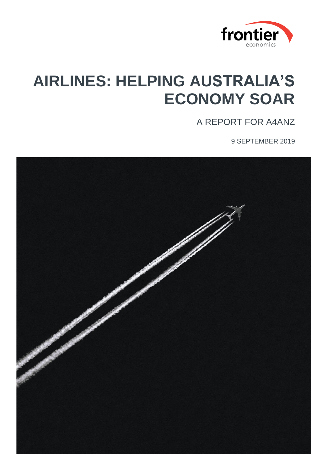

# **AIRLINES: HELPING AUSTRALIA'S ECONOMY SOAR**

A REPORT FOR A4ANZ

9 SEPTEMBER 2019

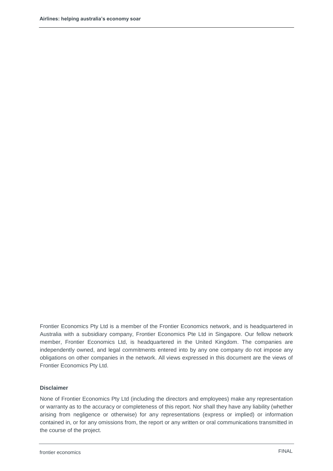Frontier Economics Pty Ltd is a member of the Frontier Economics network, and is headquartered in Australia with a subsidiary company, Frontier Economics Pte Ltd in Singapore. Our fellow network member, Frontier Economics Ltd, is headquartered in the United Kingdom. The companies are independently owned, and legal commitments entered into by any one company do not impose any obligations on other companies in the network. All views expressed in this document are the views of Frontier Economics Pty Ltd.

#### **Disclaimer**

None of Frontier Economics Pty Ltd (including the directors and employees) make any representation or warranty as to the accuracy or completeness of this report. Nor shall they have any liability (whether arising from negligence or otherwise) for any representations (express or implied) or information contained in, or for any omissions from, the report or any written or oral communications transmitted in the course of the project.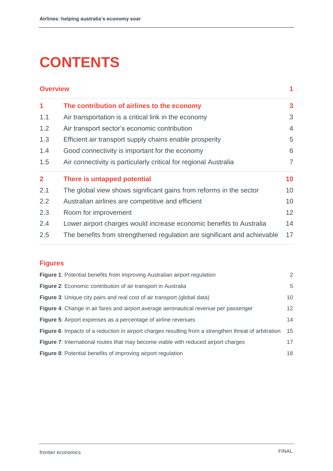# **CONTENTS**

| <b>Overview</b> |                                                                          |                 |
|-----------------|--------------------------------------------------------------------------|-----------------|
| $\mathbf 1$     | The contribution of airlines to the economy                              | 3               |
| 1.1             | Air transportation is a critical link in the economy                     | 3               |
| 1.2             | Air transport sector's economic contribution                             | $\overline{4}$  |
| 1.3             | Efficient air transport supply chains enable prosperity                  | 5               |
| 1.4             | Good connectivity is important for the economy                           | 6               |
| 1.5             | Air connectivity is particularly critical for regional Australia         | $\overline{7}$  |
| $\mathbf{2}$    | There is untapped potential                                              | 10              |
| 2.1             | The global view shows significant gains from reforms in the sector       | 10              |
| 2.2             | Australian airlines are competitive and efficient                        | 10              |
| 2.3             | Room for improvement                                                     | 12 <sup>2</sup> |
| 2.4             | Lower airport charges would increase economic benefits to Australia      | 14              |
| 2.5             | The benefits from strengthened regulation are significant and achievable | 17              |

# **Figures**

| Figure 1: Potential benefits from improving Australian airport regulation                             | 2  |
|-------------------------------------------------------------------------------------------------------|----|
| Figure 2: Economic contribution of air transport in Australia                                         | 5  |
| Figure 3: Unique city pairs and real cost of air transport (global data)                              | 10 |
| Figure 4: Change in air fares and airport average aeronautical revenue per passenger                  | 12 |
| <b>Figure 5:</b> Airport expenses as a percentage of airline revenues                                 | 14 |
| Figure 6: Impacts of a reduction in airport charges resulting from a strengthen threat of arbitration | 15 |
| Figure 7: International routes that may become viable with reduced airport charges                    | 17 |
| <b>Figure 8:</b> Potential benefits of improving airport regulation                                   | 18 |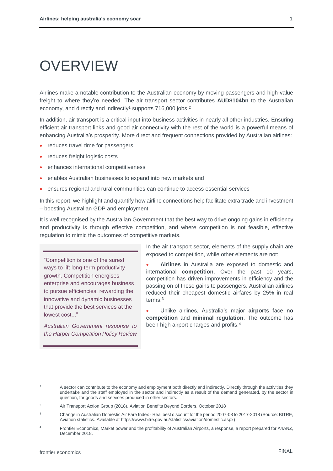# OVERVIEW

Airlines make a notable contribution to the Australian economy by moving passengers and high-value freight to where they're needed. The air transport sector contributes **AUD\$104bn** to the Australian economy, and directly and indirectly<sup>1</sup> supports 716,000 jobs.<sup>2</sup>

In addition, air transport is a critical input into business activities in nearly all other industries. Ensuring efficient air transport links and good air connectivity with the rest of the world is a powerful means of enhancing Australia's prosperity. More direct and frequent connections provided by Australian airlines:

- reduces travel time for passengers
- reduces freight logistic costs
- enhances international competitiveness
- enables Australian businesses to expand into new markets and
- ensures regional and rural communities can continue to access essential services

In this report, we highlight and quantify how airline connections help facilitate extra trade and investment – boosting Australian GDP and employment.

It is well recognised by the Australian Government that the best way to drive ongoing gains in efficiency and productivity is through effective competition, and where competition is not feasible, effective regulation to mimic the outcomes of competitive markets.

"Competition is one of the surest ways to lift long-term productivity growth. Competition energises enterprise and encourages business to pursue efficiencies, rewarding the innovative and dynamic businesses that provide the best services at the lowest cost..."

*Australian Government response to the Harper Competition Policy Review*

In the air transport sector, elements of the supply chain are exposed to competition, while other elements are not:

• **Airlines** in Australia are exposed to domestic and international **competition**. Over the past 10 years, competition has driven improvements in efficiency and the passing on of these gains to passengers. Australian airlines reduced their cheapest domestic airfares by 25% in real terms.<sup>3</sup>

• Unlike airlines, Australia's major **airports** face **no competition** and **minimal regulation**. The outcome has been high airport charges and profits.<sup>4</sup>

l

<sup>1</sup> A sector can contribute to the economy and employment both directly and indirectly. Directly through the activities they undertake and the staff employed in the sector and indirectly as a result of the demand generated, by the sector in question, for goods and services produced in other sectors.

<sup>&</sup>lt;sup>2</sup> Air Transport Action Group (2018), Aviation Benefits Beyond Borders, October 2018

<sup>&</sup>lt;sup>3</sup> Change in Australian Domestic Air Fare Index - Real best discount for the period 2007-08 to 2017-2018 (Source: BITRE, Aviation statistics. Available at https://www.bitre.gov.au/statistics/aviation/domestic.aspx)

<sup>4</sup> Frontier Economics, Market power and the profitability of Australian Airports, a response, a report prepared for A4ANZ, December 2018.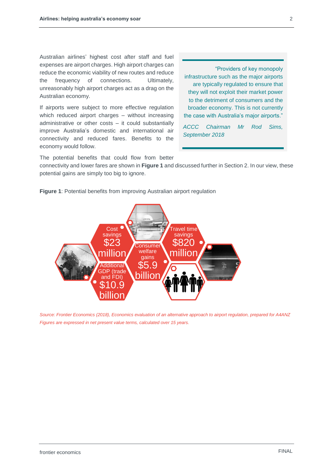Australian airlines' highest cost after staff and fuel expenses are airport charges. High airport charges can reduce the economic viability of new routes and reduce the frequency of connections. Ultimately, unreasonably high airport charges act as a drag on the Australian economy.

If airports were subject to more effective regulation which reduced airport charges – without increasing administrative or other costs – it could substantially improve Australia's domestic and international air connectivity and reduced fares. Benefits to the economy would follow.

"Providers of key monopoly infrastructure such as the major airports are typically regulated to ensure that they will not exploit their market power to the detriment of consumers and the broader economy. This is not currently the case with Australia's major airports."

*ACCC Chairman Mr Rod Sims, September 2018*

The potential benefits that could flow from better

connectivity and lower fares are shown in **[Figure 1](#page-4-0)** and discussed further in Section 2. In our view, these potential gains are simply too big to ignore.



<span id="page-4-0"></span>**Figure 1**: Potential benefits from improving Australian airport regulation

*Source: Frontier Economics (2018), Economics evaluation of an alternative approach to airport regulation, prepared for A4ANZ Figures are expressed in net present value terms, calculated over 15 years.*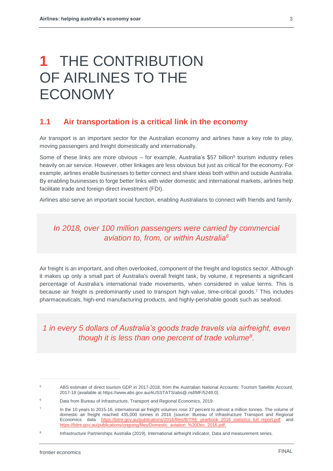# **1** THE CONTRIBUTION OF AIRLINES TO THE ECONOMY

#### **1.1 Air transportation is a critical link in the economy**

Air transport is an important sector for the Australian economy and airlines have a key role to play, moving passengers and freight domestically and internationally.

Some of these links are more obvious – for example, Australia's \$57 billion<sup>5</sup> tourism industry relies heavily on air service. However, other linkages are less obvious but just as critical for the economy. For example, airlines enable businesses to better connect and share ideas both within and outside Australia. By enabling businesses to forge better links with wider domestic and international markets, airlines help facilitate trade and foreign direct investment (FDI).

Airlines also serve an important social function, enabling Australians to connect with friends and family.

### *In 2018, over 100 million passengers were carried by commercial aviation to, from, or within Australia<sup>6</sup>*

Air freight is an important, and often overlooked, component of the freight and logistics sector. Although it makes up only a small part of Australia's overall freight task, by volume, it represents a significant percentage of Australia's international trade movements, when considered in value terms. This is because air freight is predominantly used to transport high-value, time-critical goods. <sup>7</sup> This includes pharmaceuticals, high-end manufacturing products, and highly-perishable goods such as seafood.

*1 in every 5 dollars of Australia's goods trade travels via airfreight, even though it is less than one percent of trade volume<sup>8</sup> .*

<sup>&</sup>lt;sup>5</sup> ABS estimate of direct tourism GDP in 2017-2018, from the Australian National Accounts: Tourism Satellite Account, 2017-18 (available at https://www.abs.gov.au/AUSSTATS/abs@.nsf/MF/5249.0).

<sup>6</sup> Data from Bureau of Infrastructure, Transport and Regional Economics, 2019.

<sup>7</sup> In the 10 years to 2015-16, international air freight volumes rose 37 percent to almost a million tonnes. The volume of domestic air freight reached 435,000 tonnes in 2016 (source: Bureau of Infrastructure Transport and Regional Economics data [https://bitre.gov.au/publications/2016/files/BITRE\\_yearbook\\_2016\\_statistics\\_full\\_report.pdf](https://bitre.gov.au/publications/2016/files/BITRE_yearbook_2016_statistics_full_report.pdf) and [https://bitre.gov.au/publications/ongoing/files/Domestic\\_aviation\\_%20Dec\\_2016.pdf.](https://bitre.gov.au/publications/ongoing/files/Domestic_aviation_%20Dec_2016.pdf)

<sup>8</sup> Infrastructure Partnerships Australia (2019), International airfreight indicator, Data and measurement series.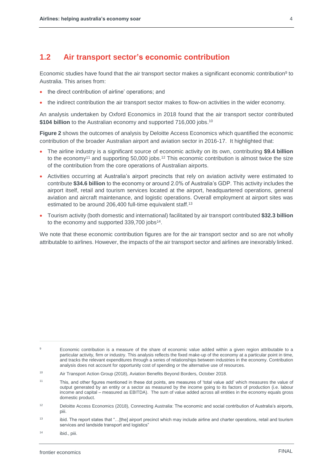#### **1.2 Air transport sector's economic contribution**

Economic studies have found that the air transport sector makes a significant economic contribution<sup>9</sup> to Australia. This arises from:

- the direct contribution of airline' operations; and
- the indirect contribution the air transport sector makes to flow-on activities in the wider economy.

An analysis undertaken by Oxford Economics in 2018 found that the air transport sector contributed **\$104 billion** to the Australian economy and supported 716,000 jobs. 10

**[Figure 2](#page-7-0)** shows the outcomes of analysis by Deloitte Access Economics which quantified the economic contribution of the broader Australian airport and aviation sector in 2016-17. It highlighted that:

- The airline industry is a significant source of economic activity on its own, contributing **\$9.4 billion** to the economy<sup>11</sup> and supporting  $50,000$  jobs.<sup>12</sup> This economic contribution is almost twice the size of the contribution from the core operations of Australian airports.
- Activities occurring at Australia's airport precincts that rely on aviation activity were estimated to contribute **\$34.6 billion** to the economy or around 2.0% of Australia's GDP. This activity includes the airport itself, retail and tourism services located at the airport, headquartered operations, general aviation and aircraft maintenance, and logistic operations. Overall employment at airport sites was estimated to be around 206,400 full-time equivalent staff.<sup>13</sup>
- Tourism activity (both domestic and international) facilitated by air transport contributed **\$32.3 billion** to the economy and supported 339,700 jobs<sup>14</sup>.

We note that these economic contribution figures are for the air transport sector and so are not wholly attributable to airlines. However, the impacts of the air transport sector and airlines are inexorably linked.

<sup>&</sup>lt;sup>9</sup> Economic contribution is a measure of the share of economic value added within a given region attributable to a particular activity, firm or industry. This analysis reflects the fixed make-up of the economy at a particular point in time, and tracks the relevant expenditures through a series of relationships between industries in the economy. Contribution analysis does not account for opportunity cost of spending or the alternative use of resources.

<sup>10</sup> Air Transport Action Group (2018), Aviation Benefits Beyond Borders, October 2018.

<sup>11</sup> This, and other figures mentioned in these dot points, are measures of 'total value add' which measures the value of output generated by an entity or a sector as measured by the income going to its factors of production (i.e. labour income and capital – measured as EBITDA). The sum of value added across all entities in the economy equals gross domestic product.

<sup>&</sup>lt;sup>12</sup> Deloitte Access Economics (2018), Connecting Australia: The economic and social contribution of Australia's airports, piii.

<sup>13</sup> ibid. The report states that "...[the] airport precinct which may include airline and charter operations, retail and tourism services and landside transport and logistics"

<sup>14</sup> ibid., piii.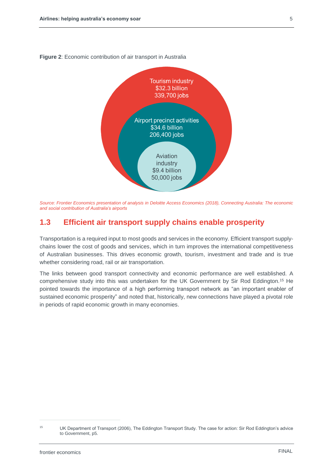

<span id="page-7-0"></span>**Figure 2**: Economic contribution of air transport in Australia

### **1.3 Efficient air transport supply chains enable prosperity**

Transportation is a required input to most goods and services in the economy. Efficient transport supplychains lower the cost of goods and services, which in turn improves the international competitiveness of Australian businesses. This drives economic growth, tourism, investment and trade and is true whether considering road, rail or air transportation.

The links between good transport connectivity and economic performance are well established. A comprehensive study into this was undertaken for the UK Government by Sir Rod Eddington.<sup>15</sup> He pointed towards the importance of a high performing transport network as "an important enabler of sustained economic prosperity" and noted that, historically, new connections have played a pivotal role in periods of rapid economic growth in many economies.

*Source: Frontier Economics presentation of analysis in Deloitte Access Economics (2018), Connecting Australia: The economic and social contribution of Australia's airports*

<sup>&</sup>lt;sup>15</sup> UK Department of Transport (2006), The Eddington Transport Study. The case for action: Sir Rod Eddington's advice to Government, p5.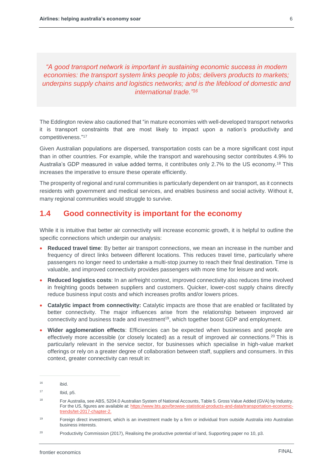*"A good transport network is important in sustaining economic success in modern economies: the transport system links people to jobs; delivers products to markets; underpins supply chains and logistics networks; and is the lifeblood of domestic and international trade." 16*

The Eddington review also cautioned that "in mature economies with well-developed transport networks it is transport constraints that are most likely to impact upon a nation's productivity and competitiveness." 17

Given Australian populations are dispersed, transportation costs can be a more significant cost input than in other countries. For example, while the transport and warehousing sector contributes 4.9% to Australia's GDP measured in value added terms, it contributes only 2.7% to the US economy.<sup>18</sup> This increases the imperative to ensure these operate efficiently.

The prosperity of regional and rural communities is particularly dependent on air transport, as it connects residents with government and medical services, and enables business and social activity. Without it, many regional communities would struggle to survive.

### **1.4 Good connectivity is important for the economy**

While it is intuitive that better air connectivity will increase economic growth, it is helpful to outline the specific connections which underpin our analysis:

- **Reduced travel time**: By better air transport connections, we mean an increase in the number and frequency of direct links between different locations. This reduces travel time, particularly where passengers no longer need to undertake a multi-stop journey to reach their final destination. Time is valuable, and improved connectivity provides passengers with more time for leisure and work.
- **Reduced logistics costs**: In an airfreight context, improved connectivity also reduces time involved in freighting goods between suppliers and customers. Quicker, lower-cost supply chains directly reduce business input costs and which increases profits and/or lowers prices.
- **Catalytic impact from connectivity:** Catalytic impacts are those that are enabled or facilitated by better connectivity. The major influences arise from the relationship between improved air connectivity and business trade and investment<sup>19</sup>, which together boost GDP and employment.
- **Wider agglomeration effects**: Efficiencies can be expected when businesses and people are effectively more accessible (or closely located) as a result of improved air connections.<sup>20</sup> This is particularly relevant in the service sector, for businesses which specialise in high-value market offerings or rely on a greater degree of collaboration between staff, suppliers and consumers. In this context, greater connectivity can result in:

<sup>16</sup> ibid.

 $17$  Ibid, p5.

<sup>&</sup>lt;sup>18</sup> For Australia, see ABS, 5204.0 Australian System of National Accounts, Table 5. Gross Value Added (GVA) by Industry. For the US, figures are available at[: https://www.bts.gov/browse-statistical-products-and-data/transportation-economic](https://www.bts.gov/browse-statistical-products-and-data/transportation-economic-trends/tet-2017-chapter-2)[trends/tet-2017-chapter-2.](https://www.bts.gov/browse-statistical-products-and-data/transportation-economic-trends/tet-2017-chapter-2)

<sup>19</sup> Foreign direct investment, which is an investment made by a firm or individual from outside Australia into Australian business interests.

<sup>&</sup>lt;sup>20</sup> Productivity Commission (2017), Realising the productive potential of land, Supporting paper no 10, p3.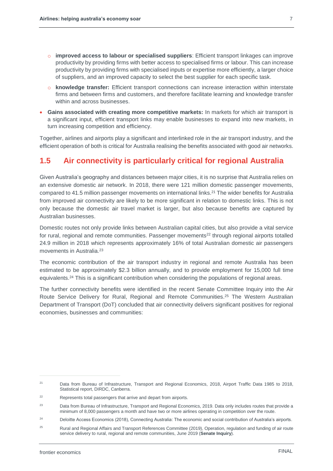- o **improved access to labour or specialised suppliers**: Efficient transport linkages can improve productivity by providing firms with better access to specialised firms or labour. This can increase productivity by providing firms with specialised inputs or expertise more efficiently, a larger choice of suppliers, and an improved capacity to select the best supplier for each specific task.
- o **knowledge transfer:** Efficient transport connections can increase interaction within interstate firms and between firms and customers, and therefore facilitate learning and knowledge transfer within and across businesses.
- **Gains associated with creating more competitive markets:** In markets for which air transport is a significant input, efficient transport links may enable businesses to expand into new markets, in turn increasing competition and efficiency.

Together, airlines and airports play a significant and interlinked role in the air transport industry, and the efficient operation of both is critical for Australia realising the benefits associated with good air networks.

# **1.5 Air connectivity is particularly critical for regional Australia**

Given Australia's geography and distances between major cities, it is no surprise that Australia relies on an extensive domestic air network. In 2018, there were 121 million domestic passenger movements, compared to 41.5 million passenger movements on international links.<sup>21</sup> The wider benefits for Australia from improved air connectivity are likely to be more significant in relation to domestic links. This is not only because the domestic air travel market is larger, but also because benefits are captured by Australian businesses.

Domestic routes not only provide links between Australian capital cities, but also provide a vital service for rural, regional and remote communities. Passenger movements<sup>22</sup> through regional airports totalled 24.9 million in 2018 which represents approximately 16% of total Australian domestic air passengers movements in Australia.<sup>23</sup>

The economic contribution of the air transport industry in regional and remote Australia has been estimated to be approximately \$2.3 billion annually, and to provide employment for 15,000 full time equivalents.<sup>24</sup> This is a significant contribution when considering the populations of regional areas.

The further connectivity benefits were identified in the recent Senate Committee Inquiry into the Air Route Service Delivery for Rural, Regional and Remote Communities.<sup>25</sup> The Western Australian Department of Transport (DoT) concluded that air connectivity delivers significant positives for regional economies, businesses and communities:

<sup>&</sup>lt;sup>21</sup> Data from Bureau of Infrastructure, Transport and Regional Economics, 2018, Airport Traffic Data 1985 to 2018, Statistical report, DIRDC, Canberra.

<sup>&</sup>lt;sup>22</sup> Represents total passengers that arrive and depart from airports.

<sup>23</sup> Data from Bureau of Infrastructure, Transport and Regional Economics, 2019. Data only includes routes that provide a minimum of 8,000 passengers a month and have two or more airlines operating in competition over the route.

<sup>&</sup>lt;sup>24</sup> Deloitte Access Economics (2018), Connecting Australia: The economic and social contribution of Australia's airports.

<sup>&</sup>lt;sup>25</sup> Rural and Regional Affairs and Transport References Committee (2019), Operation, regulation and funding of air route service delivery to rural, regional and remote communities, June 2019 (**Senate Inquiry**).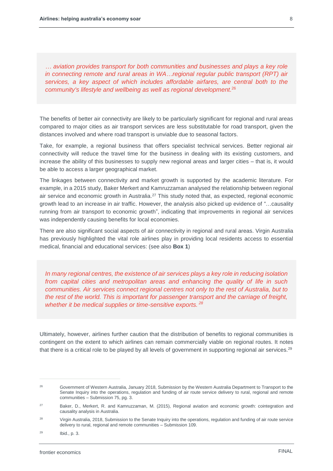*… aviation provides transport for both communities and businesses and plays a key role in connecting remote and rural areas in WA…regional regular public transport (RPT) air services, a key aspect of which includes affordable airfares, are central both to the community's lifestyle and wellbeing as well as regional development.* 26

The benefits of better air connectivity are likely to be particularly significant for regional and rural areas compared to major cities as air transport services are less substitutable for road transport, given the distances involved and where road transport is unviable due to seasonal factors.

Take, for example, a regional business that offers specialist technical services. Better regional air connectivity will reduce the travel time for the business in dealing with its existing customers, and increase the ability of this businesses to supply new regional areas and larger cities – that is, it would be able to access a larger geographical market.

The linkages between connectivity and market growth is supported by the academic literature. For example, in a 2015 study, Baker Merkert and Kamruzzaman analysed the relationship between regional air service and economic growth in Australia.<sup>27</sup> This study noted that, as expected, regional economic growth lead to an increase in air traffic. However, the analysis also picked up evidence of "…causality running from air transport to economic growth", indicating that improvements in regional air services was independently causing benefits for local economies.

There are also significant social aspects of air connectivity in regional and rural areas. Virgin Australia has previously highlighted the vital role airlines play in providing local residents access to essential medical, financial and educational services: (see also **Box 1**)

*In many regional centres, the existence of air services plays a key role in reducing isolation from capital cities and metropolitan areas and enhancing the quality of life in such communities. Air services connect regional centres not only to the rest of Australia, but to the rest of the world. This is important for passenger transport and the carriage of freight, whether it be medical supplies or time-sensitive exports. <sup>28</sup>*

Ultimately, however, airlines further caution that the distribution of benefits to regional communities is contingent on the extent to which airlines can remain commercially viable on regional routes. It notes that there is a critical role to be played by all levels of government in supporting regional air services.<sup>29</sup>

<sup>29</sup> Ibid., p. 3.

<sup>&</sup>lt;sup>26</sup> Government of Western Australia, January 2018, Submission by the Western Australia Department to Transport to the Senate Inquiry into the operations, regulation and funding of air route service delivery to rural, regional and remote communities – Submission 75, pg. 3.

<sup>&</sup>lt;sup>27</sup> Baker, D., Merkert, R. and Kamruzzaman, M. (2015), Regional aviation and economic growth: cointegration and causality analysis in Australia.

<sup>&</sup>lt;sup>28</sup> Virgin Australia, 2018, Submission to the Senate Inquiry into the operations, regulation and funding of air route service delivery to rural, regional and remote communities – Submission 109.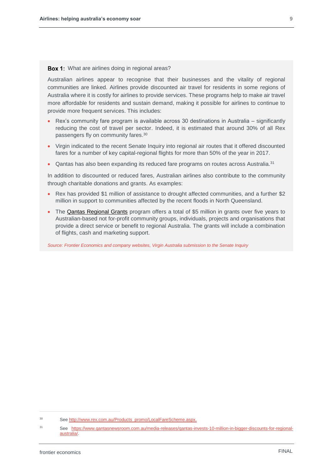**Box 1:** What are airlines doing in regional areas?

Australian airlines appear to recognise that their businesses and the vitality of regional communities are linked. Airlines provide discounted air travel for residents in some regions of Australia where it is costly for airlines to provide services. These programs help to make air travel more affordable for residents and sustain demand, making it possible for airlines to continue to provide more frequent services. This includes:

- Rex's community fare program is available across 30 destinations in Australia significantly reducing the cost of travel per sector. Indeed, it is estimated that around 30% of all Rex passengers fly on community fares.<sup>30</sup>
- Virgin indicated to the recent Senate Inquiry into regional air routes that it offered discounted fares for a number of key capital-regional flights for more than 50% of the year in 2017.
- Qantas has also been expanding its reduced fare programs on routes across Australia.<sup>31</sup>

In addition to discounted or reduced fares, Australian airlines also contribute to the community through charitable donations and grants. As examples:

- Rex has provided \$1 million of assistance to drought affected communities, and a further \$2 million in support to communities affected by the recent floods in North Queensland.
- The [Qantas Regional Grants](https://www.qantas.com/au/en/about-us/our-company/in-the-community/qantas-regional-grants.html) program offers a total of \$5 million in grants over five years to Australian-based not for-profit community groups, individuals, projects and organisations that provide a direct service or benefit to regional Australia. The grants will include a combination of flights, cash and marketing support.

*Source: Frontier Economics and company websites, Virgin Australia submission to the Senate Inquiry*

<sup>30</sup> Se[e http://www.rex.com.au/Products\\_promo/LocalFareScheme.aspx.](http://www.rex.com.au/Products_promo/LocalFareScheme.aspx)

<sup>31</sup> See [https://www.qantasnewsroom.com.au/media-releases/qantas-invests-10-million-in-bigger-discounts-for-regional](https://www.qantasnewsroom.com.au/media-releases/qantas-invests-10-million-in-bigger-discounts-for-regional-australia/)[australia/.](https://www.qantasnewsroom.com.au/media-releases/qantas-invests-10-million-in-bigger-discounts-for-regional-australia/)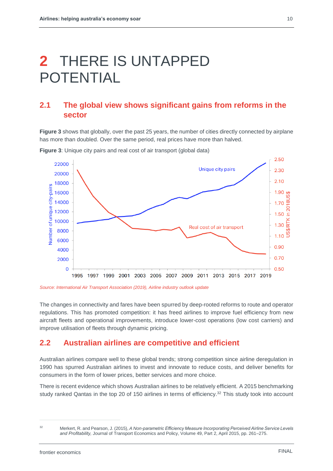# **2** THERE IS UNTAPPED POTENTIAL

## **2.1 The global view shows significant gains from reforms in the sector**

**[Figure 3](#page-12-0)** shows that globally, over the past 25 years, the number of cities directly connected by airplane has more than doubled. Over the same period, real prices have more than halved.



<span id="page-12-0"></span>**Figure 3**: Unique city pairs and real cost of air transport (global data)

*Source: International Air Transport Association (2019), Airline industry outlook update*

The changes in connectivity and fares have been spurred by deep-rooted reforms to route and operator regulations. This has promoted competition: it has freed airlines to improve fuel efficiency from new aircraft fleets and operational improvements, introduce lower-cost operations (low cost carriers) and improve utilisation of fleets through dynamic pricing.

### **2.2 Australian airlines are competitive and efficient**

Australian airlines compare well to these global trends; strong competition since airline deregulation in 1990 has spurred Australian airlines to invest and innovate to reduce costs, and deliver benefits for consumers in the form of lower prices, better services and more choice.

There is recent evidence which shows Australian airlines to be relatively efficient. A 2015 benchmarking study ranked Qantas in the top 20 of 150 airlines in terms of efficiency. <sup>32</sup> This study took into account

<sup>32</sup> Merkert, R. and Pearson, J. (2015), *A Non-parametric Efficiency Measure Incorporating Perceived Airline Service Levels and Profitability,* Journal of Transport Economics and Policy, Volume 49, Part 2, April 2015, pp. 261–275.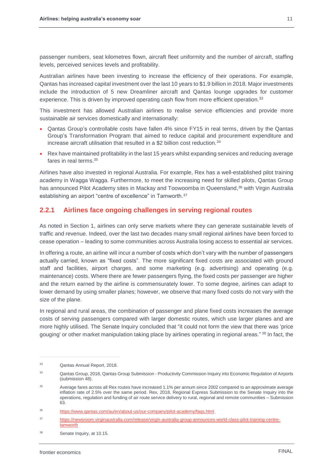passenger numbers, seat kilometres flown, aircraft fleet uniformity and the number of aircraft, staffing levels, perceived services levels and profitability.

Australian airlines have been investing to increase the efficiency of their operations. For example, Qantas has increased capital investment over the last 10 years to \$1.9 billion in 2018. Major investments include the introduction of 5 new Dreamliner aircraft and Qantas lounge upgrades for customer experience. This is driven by improved operating cash flow from more efficient operation.<sup>33</sup>

This investment has allowed Australian airlines to realise service efficiencies and provide more sustainable air services domestically and internationally:

- Qantas Group's controllable costs have fallen 4% since FY15 in real terms, driven by the Qantas Group's Transformation Program that aimed to reduce capital and procurement expenditure and increase aircraft utilisation that resulted in a \$2 billion cost reduction.<sup>34</sup>
- Rex have maintained profitability in the last 15 years whilst expanding services and reducing average fares in real terms. 35

Airlines have also invested in regional Australia. For example, Rex has a well-established pilot training academy in Wagga Wagga. Furthermore, to meet the increasing need for skilled pilots, Qantas Group has announced Pilot Academy sites in Mackay and Toowoomba in Queensland, <sup>36</sup> with Virgin Australia establishing an airport "centre of excellence" in Tamworth.<sup>37</sup>

#### **2.2.1 Airlines face ongoing challenges in serving regional routes**

As noted in Section 1, airlines can only serve markets where they can generate sustainable levels of traffic and revenue. Indeed, over the last two decades many small regional airlines have been forced to cease operation – leading to some communities across Australia losing access to essential air services.

In offering a route, an airline will incur a number of costs which don't vary with the number of passengers actually carried, known as "fixed costs". The more significant fixed costs are associated with ground staff and facilities, airport charges, and some marketing (e.g. advertising) and operating (e.g. maintenance) costs. Where there are fewer passengers flying, the fixed costs per passenger are higher and the return earned by the airline is commensurately lower. To some degree, airlines can adapt to lower demand by using smaller planes; however, we observe that many fixed costs do not vary with the size of the plane.

In regional and rural areas, the combination of passenger and plane fixed costs increases the average costs of serving passengers compared with larger domestic routes, which use larger planes and are more highly utilised. The Senate Inquiry concluded that "it could not form the view that there was 'price gouging' or other market manipulation taking place by airlines operating in regional areas."<sup>38</sup> In fact, the

<sup>33</sup> Qantas Annual Report, 2018.

<sup>34</sup> Qantas Group, 2018, Qantas Group Submission - Productivity Commission Inquiry into Economic Regulation of Airports (submission 48).

<sup>&</sup>lt;sup>35</sup> Average fares across all Rex routes have increased 1.1% per annum since 2002 compared to an approximate average inflation rate of 2.5% over the same period. Rex, 2018, Regional Express Submission to the Senate Inquiry into the operations, regulation and funding of air route service delivery to rural, regional and remote communities – Submission 63.

<sup>36</sup> <https://www.qantas.com/au/en/about-us/our-company/pilot-academy/faqs.html>

<sup>37</sup> [https://newsroom.virginaustralia.com/release/virgin-australia-group-announces-world-class-pilot-training-centre](https://newsroom.virginaustralia.com/release/virgin-australia-group-announces-world-class-pilot-training-centre-tamworth)[tamworth](https://newsroom.virginaustralia.com/release/virgin-australia-group-announces-world-class-pilot-training-centre-tamworth)

<sup>38</sup> Senate Inquiry, at 10.15.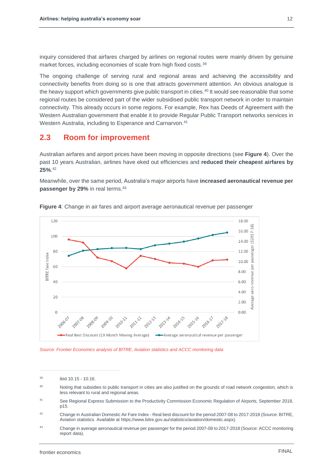inquiry considered that airfares charged by airlines on regional routes were mainly driven by genuine market forces, including economies of scale from high fixed costs.<sup>39</sup>

The ongoing challenge of serving rural and regional areas and achieving the accessibility and connectivity benefits from doing so is one that attracts government attention. An obvious analogue is the heavy support which governments give public transport in cities. <sup>40</sup> It would see reasonable that some regional routes be considered part of the wider subsidised public transport network in order to maintain connectivity. This already occurs in some regions. For example, Rex has Deeds of Agreement with the Western Australian government that enable it to provide Regular Public Transport networks services in Western Australia, including to Esperance and Carnarvon.<sup>41</sup>

### **2.3 Room for improvement**

Australian airfares and airport prices have been moving in opposite directions (see **[Figure 4](#page-14-0)**). Over the past 10 years Australian, airlines have eked out efficiencies and **reduced their cheapest airfares by 25%**. 42

Meanwhile, over the same period, Australia's major airports have **increased aeronautical revenue per passenger by 29%** in real terms. 43



<span id="page-14-0"></span>**Figure 4**: Change in air fares and airport average aeronautical revenue per passenger

*Source: Frontier Economics analysis of BITRE, Aviation statistics and ACCC monitoring data*

<sup>39</sup> ibid 10.15 - 10.16.

<sup>40</sup> Noting that subsidies to public transport in cities are also justified on the grounds of road network congestion, which is less relevant to rural and regional areas.

<sup>41</sup> See Regional Express Submission to the Productivity Commission Economic Regulation of Airports, September 2018, p15.

<sup>42</sup> Change in Australian Domestic Air Fare Index - Real best discount for the period 2007-08 to 2017-2018 (Source: BITRE, Aviation statistics. Available at https://www.bitre.gov.au/statistics/aviation/domestic.aspx).

<sup>43</sup> Change in average aeronautical revenue per passenger for the period 2007-08 to 2017-2018 (Source: ACCC monitoring report data).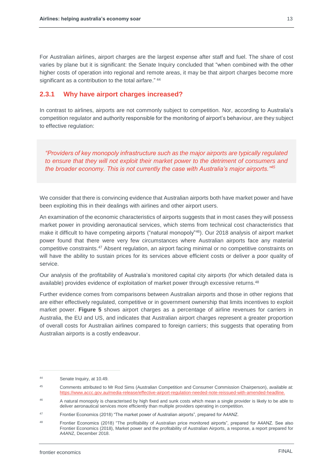For Australian airlines, airport charges are the largest expense after staff and fuel. The share of cost varies by plane but it is significant: the Senate Inquiry concluded that "when combined with the other higher costs of operation into regional and remote areas, it may be that airport charges become more significant as a contribution to the total airfare." <sup>44</sup>

#### **2.3.1 Why have airport charges increased?**

In contrast to airlines, airports are not commonly subject to competition. Nor, according to Australia's competition regulator and authority responsible for the monitoring of airport's behaviour, are they subject to effective regulation:

*"Providers of key monopoly infrastructure such as the major airports are typically regulated to ensure that they will not exploit their market power to the detriment of consumers and the broader economy. This is not currently the case with Australia's major airports."<sup>45</sup>*

We consider that there is convincing evidence that Australian airports both have market power and have been exploiting this in their dealings with airlines and other airport users.

An examination of the economic characteristics of airports suggests that in most cases they will possess market power in providing aeronautical services, which stems from technical cost characteristics that make it difficult to have competing airports ("natural monopoly"<sup>46</sup>). Our 2018 analysis of airport market power found that there were very few circumstances where Australian airports face any material competitive constraints.<sup>47</sup> Absent regulation, an airport facing minimal or no competitive constraints on will have the ability to sustain prices for its services above efficient costs or deliver a poor quality of service.

Our analysis of the profitability of Australia's monitored capital city airports (for which detailed data is available) provides evidence of exploitation of market power through excessive returns. 48

Further evidence comes from comparisons between Australian airports and those in other regions that are either effectively regulated, competitive or in government ownership that limits incentives to exploit market power. **[Figure 5](#page-16-0)** shows airport charges as a percentage of airline revenues for carriers in Australia, the EU and US, and indicates that Australian airport charges represent a greater proportion of overall costs for Australian airlines compared to foreign carriers; this suggests that operating from Australian airports is a costly endeavour.

<sup>44</sup> Senate Inquiry, at 10.49.

<sup>45</sup> Comments attributed to Mr Rod Sims (Australian Competition and Consumer Commission Chairperson), available at: [https://www.accc.gov.au/media-release/effective-airport-regulation-needed-note-reissued-with-amended-headline.](https://www.accc.gov.au/media-release/effective-airport-regulation-needed-note-reissued-with-amended-headline)

<sup>46</sup> A natural monopoly is characterised by high fixed and sunk costs which mean a single provider is likely to be able to deliver aeronautical services more efficiently than multiple providers operating in competition.

<sup>47</sup> Frontier Economics (2018) "The market power of Australian airports", prepared for A4ANZ.

<sup>48</sup> Frontier Economics (2018) "The profitability of Australian price monitored airports", prepared for A4ANZ. See also Frontier Economics (2018), Market power and the profitability of Australian Airports, a response, a report prepared for A4ANZ, December 2018.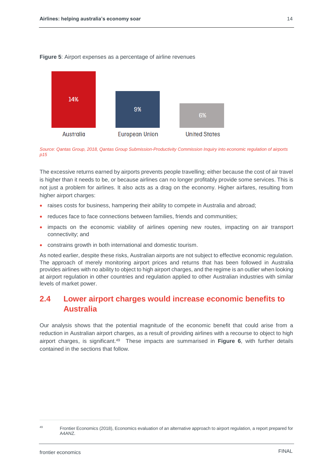<span id="page-16-0"></span>

*Source: Qantas Group, 2018, Qantas Group Submission-Productivity Commission Inquiry into economic regulation of airports p15*

The excessive returns earned by airports prevents people travelling; either because the cost of air travel is higher than it needs to be, or because airlines can no longer profitably provide some services. This is not just a problem for airlines. It also acts as a drag on the economy. Higher airfares, resulting from higher airport charges:

- raises costs for business, hampering their ability to compete in Australia and abroad;
- reduces face to face connections between families, friends and communities;
- impacts on the economic viability of airlines opening new routes, impacting on air transport connectivity; and
- constrains growth in both international and domestic tourism.

As noted earlier, despite these risks, Australian airports are not subject to effective economic regulation. The approach of merely monitoring airport prices and returns that has been followed in Australia provides airlines with no ability to object to high airport charges, and the regime is an outlier when looking at airport regulation in other countries and regulation applied to other Australian industries with similar levels of market power.

# **2.4 Lower airport charges would increase economic benefits to Australia**

Our analysis shows that the potential magnitude of the economic benefit that could arise from a reduction in Australian airport charges, as a result of providing airlines with a recourse to object to high airport charges, is significant. <sup>49</sup> These impacts are summarised in **[Figure 6](#page-17-0)**, with further details contained in the sections that follow.

FINAL

<sup>&</sup>lt;sup>49</sup> Frontier Economics (2018), Economics evaluation of an alternative approach to airport regulation, a report prepared for A4ANZ.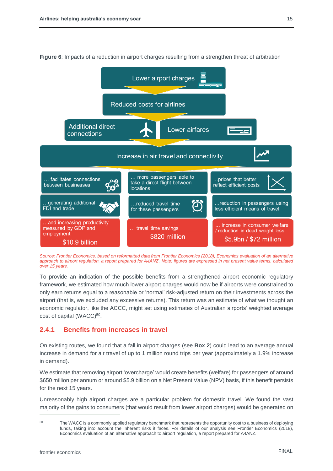

<span id="page-17-0"></span>**Figure 6**: Impacts of a reduction in airport charges resulting from a strengthen threat of arbitration

*Source: Frontier Economics, based on reformatted data from Frontier Economics (2018), Economics evaluation of an alternative approach to airport regulation, a report prepared for A4ANZ. Note: figures are expressed in net present value terms, calculated over 15 years.*

To provide an indication of the possible benefits from a strengthened airport economic regulatory framework, we estimated how much lower airport charges would now be if airports were constrained to only earn returns equal to a reasonable or 'normal' risk-adjusted return on their investments across the airport (that is, we excluded any excessive returns). This return was an estimate of what we thought an economic regulator, like the ACCC, might set using estimates of Australian airports' weighted average cost of capital (WACC)<sup>50</sup>.

#### <span id="page-17-1"></span>**2.4.1 Benefits from increases in travel**

On existing routes, we found that a fall in airport charges (see **Box 2**) could lead to an average annual increase in demand for air travel of up to 1 million round trips per year (approximately a 1.9% increase in demand).

We estimate that removing airport 'overcharge' would create benefits (welfare) for passengers of around \$650 million per annum or around \$5.9 billion on a Net Present Value (NPV) basis, if this benefit persists for the next 15 years.

Unreasonably high airport charges are a particular problem for domestic travel. We found the vast majority of the gains to consumers (that would result from lower airport charges) would be generated on

<sup>&</sup>lt;sup>50</sup> The WACC is a commonly applied regulatory benchmark that represents the opportunity cost to a business of deploying funds, taking into account the inherent risks it faces. For details of our analysis see Frontier Economics (2018), Economics evaluation of an alternative approach to airport regulation, a report prepared for A4ANZ.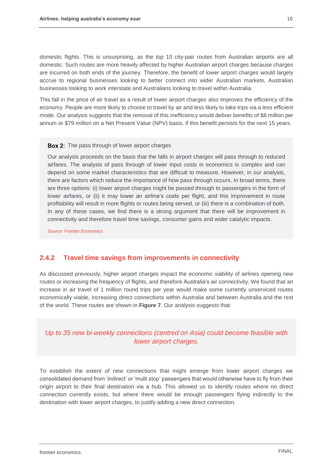domestic flights. This is unsurprising, as the top 10 city-pair routes from Australian airports are all domestic. Such routes are more heavily affected by higher Australian airport charges because charges are incurred on both ends of the journey. Therefore, the benefit of lower airport charges would largely accrue to regional businesses looking to better connect into wider Australian markets, Australian businesses looking to work interstate and Australians looking to travel within Australia.

This fall in the price of air travel as a result of lower airport charges also improves the efficiency of the economy. People are more likely to choose to travel by air and less likely to take trips via a less efficient mode. Our analysis suggests that the removal of this inefficiency would deliver benefits of \$8 million per annum or \$79 million on a Net Present Value (NPV) basis, if this benefit persists for the next 15 years.

#### **Box 2:** The pass through of lower airport charges

Our analysis proceeds on the basis that the falls in airport charges will pass through to reduced airfares. The analysis of pass through of lower input costs in economics is complex and can depend on some market characteristics that are difficult to measure. However, in our analysis, there are factors which reduce the importance of how pass through occurs. In broad terms, there are three options: (i) lower airport charges might be passed through to passengers in the form of lower airfares, or (ii) it may lower an airline's costs per flight, and this improvement in route profitability will result in more flights or routes being served, or (iii) there is a combination of both. In any of these cases, we find there is a strong argument that there will be improvement in connectivity and therefore travel time savings, consumer gains and wider catalytic impacts.

*Source: Frontier Economics*

#### **2.4.2 Travel time savings from improvements in connectivity**

As discussed previously, higher airport charges impact the economic viability of airlines opening new routes or increasing the frequency of flights, and therefore Australia's air connectivity. We found that an increase in air travel of 1 million round trips per year would make some currently unserviced routes economically viable, increasing direct connections within Australia and between Australia and the rest of the world. These routes are shown in **[Figure 7](#page-19-0)**. Our analysis suggests that:

#### *Up to 35 new bi-weekly connections (centred on Asia) could become feasible with lower airport charges.*

To establish the extent of new connections that might emerge from lower airport charges we consolidated demand from 'indirect' or 'multi stop' passengers that would otherwise have to fly from their origin airport to their final destination via a hub. This allowed us to identify routes where no direct connection currently exists, but where there would be enough passengers flying indirectly to the destination with lower airport charges, to justify adding a new direct connection.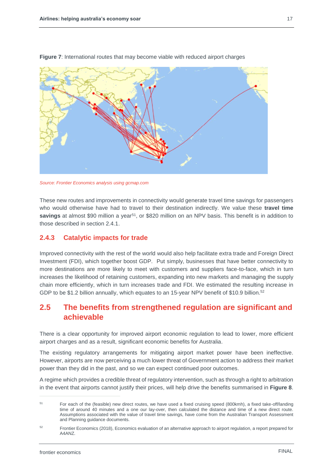<span id="page-19-0"></span>

**Figure 7**: International routes that may become viable with reduced airport charges

*Source: Frontier Economics analysis using gcmap.com*

These new routes and improvements in connectivity would generate travel time savings for passengers who would otherwise have had to travel to their destination indirectly. We value these **travel time** savings at almost \$90 million a year<sup>51</sup>, or \$820 million on an NPV basis. This benefit is in addition to those described in section [2.4.1.](#page-17-1)

#### **2.4.3 Catalytic impacts for trade**

Improved connectivity with the rest of the world would also help facilitate extra trade and Foreign Direct Investment (FDI), which together boost GDP. Put simply, businesses that have better connectivity to more destinations are more likely to meet with customers and suppliers face-to-face, which in turn increases the likelihood of retaining customers, expanding into new markets and managing the supply chain more efficiently, which in turn increases trade and FDI. We estimated the resulting increase in GDP to be \$1.2 billion annually, which equates to an 15-year NPV benefit of \$10.9 billion.<sup>52</sup>

# **2.5 The benefits from strengthened regulation are significant and achievable**

There is a clear opportunity for improved airport economic regulation to lead to lower, more efficient airport charges and as a result, significant economic benefits for Australia.

The existing regulatory arrangements for mitigating airport market power have been ineffective. However, airports are now perceiving a much lower threat of Government action to address their market power than they did in the past, and so we can expect continued poor outcomes.

A regime which provides a credible threat of regulatory intervention, such as through a right to arbitration in the event that airports cannot justify their prices, will help drive the benefits summarised in **[Figure 8](#page-20-0)**.

<sup>51</sup> For each of the (feasible) new direct routes, we have used a fixed cruising speed (800kmh), a fixed take-off/landing time of around 40 minutes and a one our lay-over, then calculated the distance and time of a new direct route. Assumptions associated with the value of travel time savings, have come from the Australian Transport Assessment and Planning guidance documents.

<sup>52</sup> Frontier Economics (2018), Economics evaluation of an alternative approach to airport regulation, a report prepared for A4ANZ.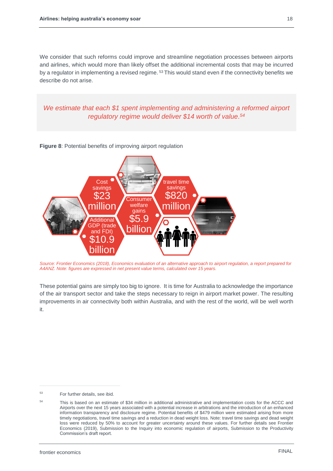We consider that such reforms could improve and streamline negotiation processes between airports and airlines, which would more than likely offset the additional incremental costs that may be incurred by a regulator in implementing a revised regime.<sup>53</sup> This would stand even if the connectivity benefits we describe do not arise.

*We estimate that each \$1 spent implementing and administering a reformed airport regulatory regime would deliver \$14 worth of value. 54*



<span id="page-20-0"></span>**Figure 8**: Potential benefits of improving airport regulation

*Source: Frontier Economics (2018), Economics evaluation of an alternative approach to airport regulation, a report prepared for A4ANZ. Note: figures are expressed in net present value terms, calculated over 15 years.*

These potential gains are simply too big to ignore. It is time for Australia to acknowledge the importance of the air transport sector and take the steps necessary to reign in airport market power. The resulting improvements in air connectivity both within Australia, and with the rest of the world, will be well worth it.

<sup>53</sup> For further details, see ibid.

<sup>54</sup> This is based on an estimate of \$34 million in additional administrative and implementation costs for the ACCC and Airports over the next 15 years associated with a potential increase in arbitrations and the introduction of an enhanced information transparency and disclosure regime. Potential benefits of \$479 million were estimated arising from more timely negotiations, travel time savings and a reduction in dead weight loss. Note: travel time savings and dead weight loss were reduced by 50% to account for greater uncertainty around these values. For further details see Frontier Economics (2019), Submission to the Inquiry into economic regulation of airports, Submission to the Productivity Commission's draft report.